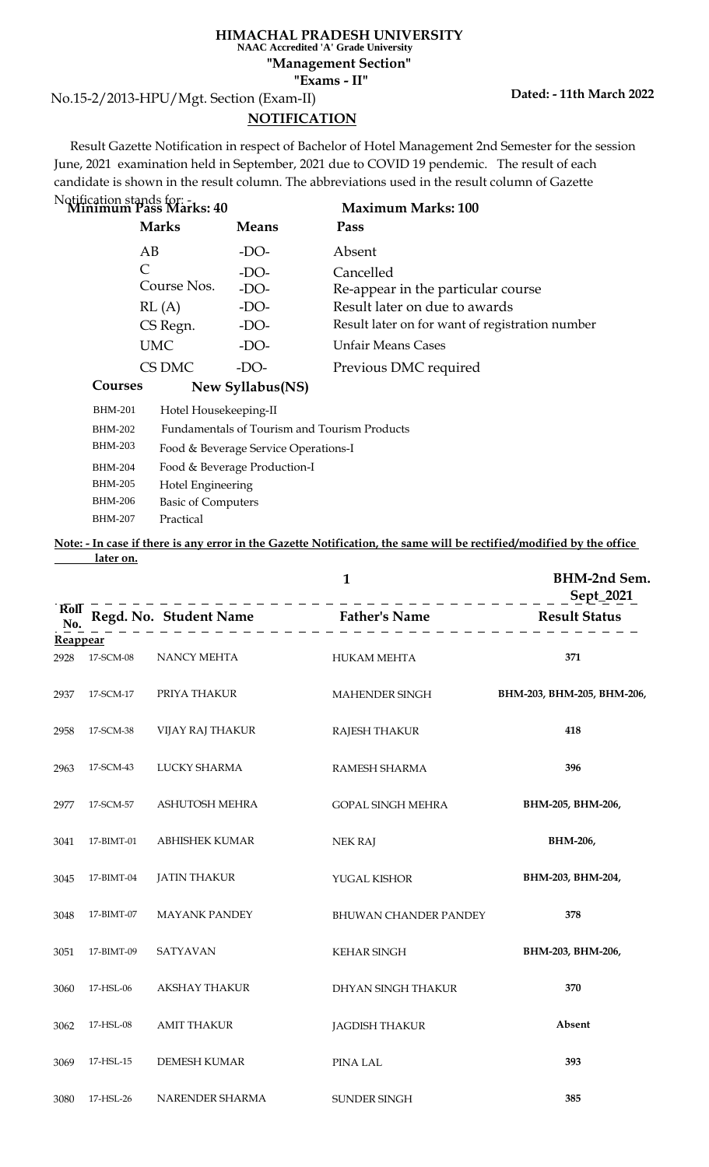### **HIMACHAL PRADESH UNIVERSITY NAAC Accredited 'A' Grade University**

**"Exams - II" "Management Section"**

No.15-2/2013-HPU/Mgt. Section (Exam-II)

# **NOTIFICATION**

 Result Gazette Notification in respect of Bachelor of Hotel Management 2nd Semester for the session June, 2021 examination held in September, 2021 due to COVID 19 pendemic. The result of each candidate is shown in the result column. The abbreviations used in the result column of Gazette

| Notification stands for: -<br><b>Minimum Pass Marks: 40</b> |                  | <b>Maximum Marks: 100</b>                       |
|-------------------------------------------------------------|------------------|-------------------------------------------------|
| <b>Marks</b>                                                | <b>Means</b>     | Pass                                            |
| AB                                                          | $-DO-$           | Absent                                          |
| C                                                           | $-DO-$           | Cancelled                                       |
| Course Nos.                                                 | $-DO-$           | Re-appear in the particular course              |
| RL(A)                                                       | $-DO-$           | Result later on due to awards                   |
| CS Regn.                                                    | $-DO-$           | Result later on for want of registration number |
| <b>UMC</b>                                                  | $-DO-$           | <b>Unfair Means Cases</b>                       |
| CS DMC                                                      | $-DO-$           | Previous DMC required                           |
| Courses                                                     | New Syllabus(NS) |                                                 |

| <b>BHM-201</b> | Hotel Housekeeping-II                        |
|----------------|----------------------------------------------|
| <b>BHM-202</b> | Fundamentals of Tourism and Tourism Products |
| <b>BHM-203</b> | Food & Beverage Service Operations-I         |
| <b>BHM-204</b> | Food & Beverage Production-I                 |
| <b>BHM-205</b> | Hotel Engineering                            |
| <b>BHM-206</b> | <b>Basic of Computers</b>                    |
| <b>BHM-207</b> | Practical                                    |
|                |                                              |

## **Note: - In case if there is any error in the Gazette Notification, the same will be rectified/modified by the office later on.**

|            | $\mathbf{1}$<br>__________________________ |                                                                                                                     |                              | <b>BHM-2nd Sem.</b><br>Sept_2021 |  |
|------------|--------------------------------------------|---------------------------------------------------------------------------------------------------------------------|------------------------------|----------------------------------|--|
| Rol<br>No. |                                            | Regd. No. Student Name<br>$\frac{1}{2}$ Father's Name<br>$\frac{1}{2}$ Result Status<br>$\frac{1}{2}$ Result Status |                              |                                  |  |
| Reappear   |                                            |                                                                                                                     |                              |                                  |  |
| 2928       | 17-SCM-08                                  | NANCY MEHTA                                                                                                         | <b>HUKAM MEHTA</b>           | 371                              |  |
| 2937       | 17-SCM-17                                  | PRIYA THAKUR                                                                                                        | MAHENDER SINGH               | BHM-203, BHM-205, BHM-206,       |  |
| 2958       | 17-SCM-38                                  | VIJAY RAJ THAKUR                                                                                                    | <b>RAJESH THAKUR</b>         | 418                              |  |
| 2963       | 17-SCM-43                                  | LUCKY SHARMA                                                                                                        | RAMESH SHARMA                | 396                              |  |
| 2977       | 17-SCM-57                                  | ASHUTOSH MEHRA                                                                                                      | <b>GOPAL SINGH MEHRA</b>     | BHM-205, BHM-206,                |  |
| 3041       | 17-BIMT-01                                 | ABHISHEK KUMAR                                                                                                      | <b>NEK RAJ</b>               | BHM-206,                         |  |
| 3045       | 17-BIMT-04                                 | <b>JATIN THAKUR</b>                                                                                                 | YUGAL KISHOR                 | BHM-203, BHM-204,                |  |
| 3048       | 17-BIMT-07                                 | <b>MAYANK PANDEY</b>                                                                                                | <b>BHUWAN CHANDER PANDEY</b> | 378                              |  |
| 3051       | 17-BIMT-09                                 | <b>SATYAVAN</b>                                                                                                     | <b>KEHAR SINGH</b>           | BHM-203, BHM-206,                |  |
| 3060       | 17-HSL-06                                  | <b>AKSHAY THAKUR</b>                                                                                                | DHYAN SINGH THAKUR           | 370                              |  |
| 3062       | 17-HSL-08                                  | <b>AMIT THAKUR</b>                                                                                                  | <b>JAGDISH THAKUR</b>        | Absent                           |  |
| 3069       | 17-HSL-15                                  | <b>DEMESH KUMAR</b>                                                                                                 | PINA LAL                     | 393                              |  |
| 3080       | 17-HSL-26                                  | NARENDER SHARMA                                                                                                     | SUNDER SINGH                 | 385                              |  |

## **Dated: - 11th March 2022**